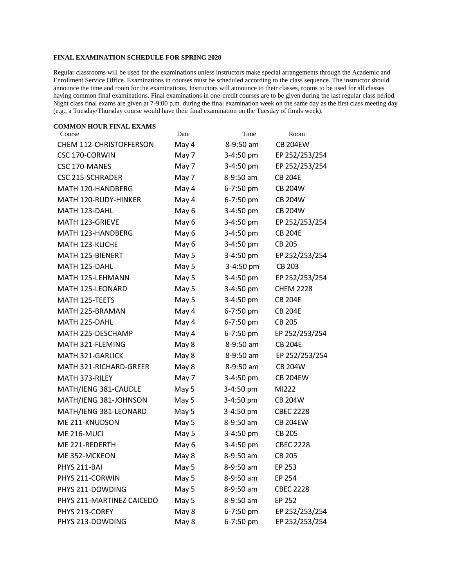## **FINAL EXAMINATION SCHEDULE FOR SPRING 2020**

Regular classrooms will be used for the examinations unless instructors make special arrangements through the Academic and Enrollment Service Office. Examinations in courses must be scheduled according to the class sequence. The instructor should announce the time and room for the examinations. Instructors will announce to their classes, rooms to be used for all classes having common final examinations. Final examinations in one-credit courses are to be given during the last regular class period. Night class final exams are given at 7-9:00 p.m. during the final examination week on the same day as the first class meeting day (e.g., a Tuesday/Thursday course would have their final examination on the Tuesday of finals week).

| <b>COMMON HOUR FINAL EXAMS</b> |       |           |                  |
|--------------------------------|-------|-----------|------------------|
| Course                         | Date  | Time      | Room             |
| <b>CHEM 112-CHRISTOFFERSON</b> | May 4 | 8-9:50 am | <b>CB 204EW</b>  |
| CSC 170-CORWIN                 | May 7 | 3-4:50 pm | EP 252/253/254   |
| CSC 170-MANES                  | May 7 | 3-4:50 pm | EP 252/253/254   |
| <b>CSC 215-SCHRADER</b>        | May 7 | 8-9:50 am | <b>CB 204E</b>   |
| MATH 120-HANDBERG              | May 4 | 6-7:50 pm | <b>CB 204W</b>   |
| MATH 120-RUDY-HINKER           | May 4 | 6-7:50 pm | <b>CB 204W</b>   |
| MATH 123-DAHL                  | May 6 | 3-4:50 pm | <b>CB 204W</b>   |
| MATH 123-GRIEVE                | May 6 | 3-4:50 pm | EP 252/253/254   |
| MATH 123-HANDBERG              | May 6 | 3-4:50 pm | <b>CB 204E</b>   |
| MATH 123-KLICHE                | May 6 | 3-4:50 pm | CB 205           |
| MATH 125-BIENERT               | May 5 | 3-4:50 pm | EP 252/253/254   |
| MATH 125-DAHL                  | May 5 | 3-4:50 pm | CB 203           |
| MATH 125-LEHMANN               | May 5 | 3-4:50 pm | EP 252/253/254   |
| MATH 125-LEONARD               | May 5 | 3-4:50 pm | <b>CHEM 2228</b> |
| MATH 125-TEETS                 | May 5 | 3-4:50 pm | <b>CB 204E</b>   |
| MATH 225-BRAMAN                | May 4 | 6-7:50 pm | <b>CB 204E</b>   |
| MATH 225-DAHL                  | May 4 | 6-7:50 pm | <b>CB 205</b>    |
| MATH 225-DESCHAMP              | May 4 | 6-7:50 pm | EP 252/253/254   |
| MATH 321-FLEMING               | May 8 | 8-9:50 am | <b>CB 204E</b>   |
| <b>MATH 321-GARLICK</b>        | May 8 | 8-9:50 am | EP 252/253/254   |
| MATH 321-RICHARD-GREER         | May 8 | 8-9:50 am | <b>CB 204W</b>   |
| MATH 373-RILEY                 | May 7 | 3-4:50 pm | <b>CB 204EW</b>  |
| MATH/IENG 381-CAUDLE           | May 5 | 3-4:50 pm | MI222            |
| MATH/IENG 381-JOHNSON          | May 5 | 3-4:50 pm | <b>CB 204W</b>   |
| MATH/IENG 381-LEONARD          | May 5 | 3-4:50 pm | <b>CBEC 2228</b> |
| ME 211-KNUDSON                 | May 5 | 8-9:50 am | <b>CB 204EW</b>  |
| ME 216-MUCI                    | May 5 | 3-4:50 pm | CB 205           |
| ME 221-REDERTH                 | May 6 | 3-4:50 pm | <b>CBEC 2228</b> |
| ME 352-MCKEON                  | May 8 | 8-9:50 am | <b>CB 205</b>    |
| PHYS 211-BAI                   | May 5 | 8-9:50 am | EP 253           |
| PHYS 211-CORWIN                | May 5 | 8-9:50 am | EP 254           |
| PHYS 211-DOWDING               | May 5 | 8-9:50 am | <b>CBEC 2228</b> |
| PHYS 211-MARTINEZ CAICEDO      | May 5 | 8-9:50 am | EP 252           |
| PHYS 213-COREY                 | May 8 | 6-7:50 pm | EP 252/253/254   |
| PHYS 213-DOWDING               | May 8 | 6-7:50 pm | EP 252/253/254   |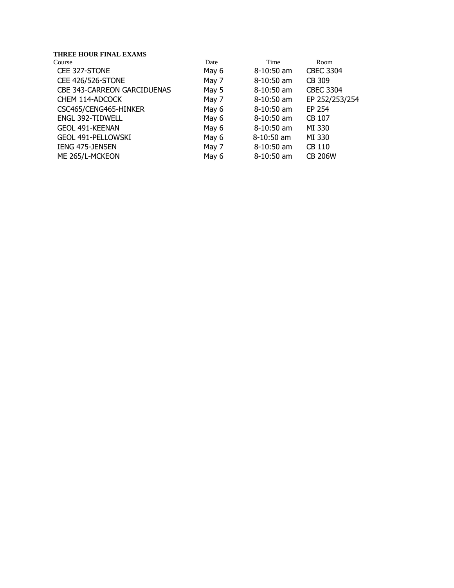| Room             |
|------------------|
| <b>CBEC 3304</b> |
|                  |
| <b>CBEC 3304</b> |
| EP 252/253/254   |
|                  |
|                  |
|                  |
|                  |
|                  |
| <b>CB 206W</b>   |
|                  |